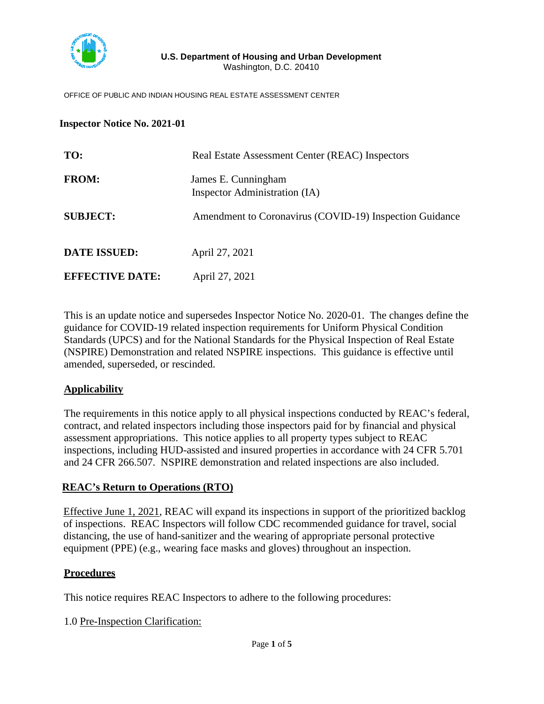

#### OFFICE OF PUBLIC AND INDIAN HOUSING REAL ESTATE ASSESSMENT CENTER

#### **Inspector Notice No. 2021-01**

| TO:                    | Real Estate Assessment Center (REAC) Inspectors         |  |
|------------------------|---------------------------------------------------------|--|
| <b>FROM:</b>           | James E. Cunningham<br>Inspector Administration (IA)    |  |
| <b>SUBJECT:</b>        | Amendment to Coronavirus (COVID-19) Inspection Guidance |  |
| <b>DATE ISSUED:</b>    | April 27, 2021                                          |  |
| <b>EFFECTIVE DATE:</b> | April 27, 2021                                          |  |

This is an update notice and supersedes Inspector Notice No. 2020-01. The changes define the guidance for COVID-19 related inspection requirements for Uniform Physical Condition Standards (UPCS) and for the National Standards for the Physical Inspection of Real Estate (NSPIRE) Demonstration and related NSPIRE inspections. This guidance is effective until amended, superseded, or rescinded.

#### **Applicability**

The requirements in this notice apply to all physical inspections conducted by REAC's federal, contract, and related inspectors including those inspectors paid for by financial and physical assessment appropriations. This notice applies to all property types subject to REAC inspections, including HUD-assisted and insured properties in accordance with 24 CFR 5.701 and 24 CFR 266.507. NSPIRE demonstration and related inspections are also included.

## **REAC's Return to Operations (RTO)**

Effective June 1, 2021, REAC will expand its inspections in support of the prioritized backlog of inspections. REAC Inspectors will follow CDC recommended guidance for travel, social distancing, the use of hand-sanitizer and the wearing of appropriate personal protective equipment (PPE) (e.g., wearing face masks and gloves) throughout an inspection.

## **Procedures**

This notice requires REAC Inspectors to adhere to the following procedures:

1.0 Pre-Inspection Clarification: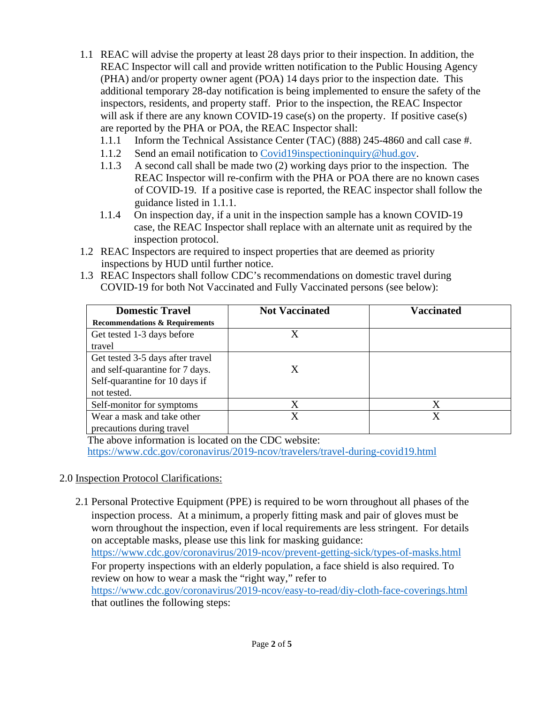- 1.1 REAC will advise the property at least 28 days prior to their inspection. In addition, the REAC Inspector will call and provide written notification to the Public Housing Agency (PHA) and/or property owner agent (POA) 14 days prior to the inspection date. This additional temporary 28-day notification is being implemented to ensure the safety of the inspectors, residents, and property staff. Prior to the inspection, the REAC Inspector will ask if there are any known COVID-19 case(s) on the property. If positive case(s) are reported by the PHA or POA, the REAC Inspector shall:
	- 1.1.1 Inform the Technical Assistance Center (TAC) (888) 245-4860 and call case #.
	- 1.1.2 Send an email notification to [Covid19inspectioninquiry@hud.gov.](mailto:Covid19inspectioninquiry@hud.gov)
	- 1.1.3 A second call shall be made two (2) working days prior to the inspection. The REAC Inspector will re-confirm with the PHA or POA there are no known cases of COVID-19. If a positive case is reported, the REAC inspector shall follow the guidance listed in 1.1.1.
	- 1.1.4 On inspection day, if a unit in the inspection sample has a known COVID-19 case, the REAC Inspector shall replace with an alternate unit as required by the inspection protocol.
- 1.2 REAC Inspectors are required to inspect properties that are deemed as priority inspections by HUD until further notice.
- 1.3 REAC Inspectors shall follow CDC's recommendations on domestic travel during COVID-19 for both Not Vaccinated and Fully Vaccinated persons (see below):

| <b>Domestic Travel</b>                    | <b>Not Vaccinated</b> | <b>Vaccinated</b> |
|-------------------------------------------|-----------------------|-------------------|
| <b>Recommendations &amp; Requirements</b> |                       |                   |
| Get tested 1-3 days before                | X                     |                   |
| travel                                    |                       |                   |
| Get tested 3-5 days after travel          |                       |                   |
| and self-quarantine for 7 days.           | X                     |                   |
| Self-quarantine for 10 days if            |                       |                   |
| not tested.                               |                       |                   |
| Self-monitor for symptoms                 | Χ                     | X                 |
| Wear a mask and take other                | X                     | X                 |
| precautions during travel                 |                       |                   |

The above information is located on the CDC website:

<https://www.cdc.gov/coronavirus/2019-ncov/travelers/travel-during-covid19.html>

## 2.0 Inspection Protocol Clarifications:

 2.1 Personal Protective Equipment (PPE) is required to be worn throughout all phases of the inspection process. At a minimum, a properly fitting mask and pair of gloves must be worn throughout the inspection, even if local requirements are less stringent. For details on acceptable masks, please use this link for masking guidance: <https://www.cdc.gov/coronavirus/2019-ncov/prevent-getting-sick/types-of-masks.html> For property inspections with an elderly population, a face shield is also required. To review on how to wear a mask the "right way," refer to <https://www.cdc.gov/coronavirus/2019-ncov/easy-to-read/diy-cloth-face-coverings.html> that outlines the following steps: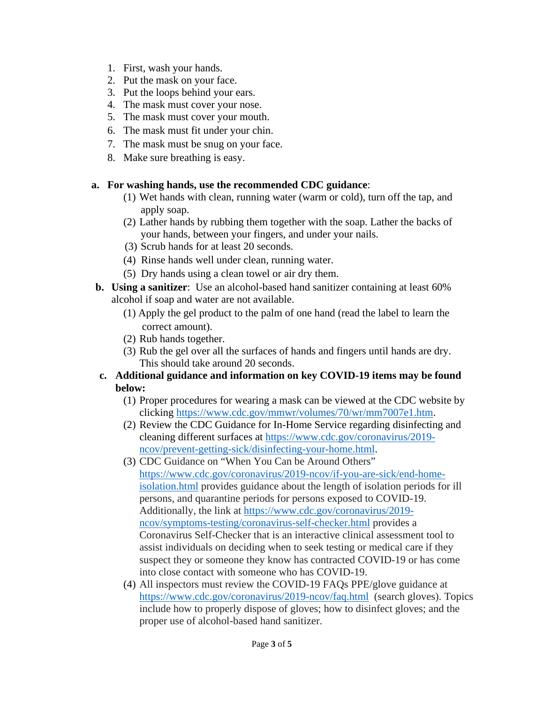- 1. First, wash your hands.
- 2. Put the mask on your face.
- 3. Put the loops behind your ears.
- 4. The mask must cover your nose.
- 5. The mask must cover your mouth.
- 6. The mask must fit under your chin.
- 7. The mask must be snug on your face.
- 8. Make sure breathing is easy.

## **a. For washing hands, use the recommended CDC guidance**:

- (1) Wet hands with clean, running water (warm or cold), turn off the tap, and apply soap.
- (2) Lather hands by rubbing them together with the soap. Lather the backs of your hands, between your fingers, and under your nails.
- (3) Scrub hands for at least 20 seconds.
- (4) Rinse hands well under clean, running water.
- (5) Dry hands using a clean towel or air dry them.
- **b. Using a sanitizer**: Use an alcohol-based hand sanitizer containing at least 60% alcohol if soap and water are not available.
	- (1) Apply the gel product to the palm of one hand (read the label to learn the correct amount).
	- (2) Rub hands together.
	- (3) Rub the gel over all the surfaces of hands and fingers until hands are dry. This should take around 20 seconds.
- **c. Additional guidance and information on key COVID-19 items may be found below:** 
	- (1) Proper procedures for wearing a mask can be viewed at the CDC website by clicking [https://www.cdc.gov/mmwr/volumes/70/wr/mm7007e1.htm.](https://www.cdc.gov/mmwr/volumes/70/wr/mm7007e1.htm)
	- (2) Review the CDC Guidance for In-Home Service regarding disinfecting and cleaning different surfaces at [https://www.cdc.gov/coronavirus/2019](https://www.cdc.gov/coronavirus/2019-ncov/prevent-getting-sick/disinfecting-your-home.html) [ncov/prevent-getting-sick/disinfecting-your-home.html.](https://www.cdc.gov/coronavirus/2019-ncov/prevent-getting-sick/disinfecting-your-home.html)
	- (3) CDC Guidance on "When You Can be Around Others" [https://www.cdc.gov/coronavirus/2019-ncov/if-you-are-sick/end-home](https://www.cdc.gov/coronavirus/2019-ncov/if-you-are-sick/end-home-isolation.html)[isolation.html](https://www.cdc.gov/coronavirus/2019-ncov/if-you-are-sick/end-home-isolation.html) provides guidance about the length of isolation periods for ill persons, and quarantine periods for persons exposed to COVID-19. Additionally, the link at [https://www.cdc.gov/coronavirus/2019](https://www.cdc.gov/coronavirus/2019-ncov/symptoms-testing/coronavirus-self-checker.html) [ncov/symptoms-testing/coronavirus-self-checker.html](https://www.cdc.gov/coronavirus/2019-ncov/symptoms-testing/coronavirus-self-checker.html) provides a Coronavirus Self-Checker that is an interactive clinical assessment tool to assist individuals on deciding when to seek testing or medical care if they suspect they or someone they know has contracted COVID-19 or has come into close contact with someone who has COVID-19.
	- (4) All inspectors must review the COVID-19 FAQs PPE/glove guidance at <https://www.cdc.gov/coronavirus/2019-ncov/faq.html>(search gloves). Topics include how to properly dispose of gloves; how to disinfect gloves; and the proper use of alcohol-based hand sanitizer.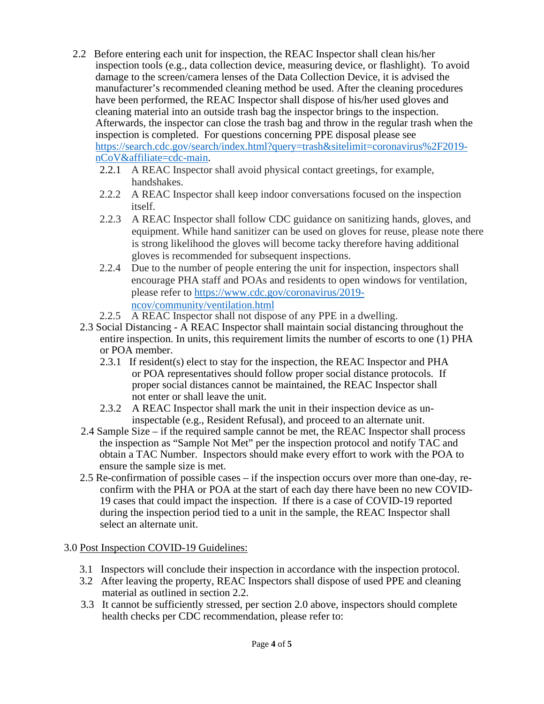- 2.2 Before entering each unit for inspection, the REAC Inspector shall clean his/her inspection tools (e.g., data collection device, measuring device, or flashlight). To avoid damage to the screen/camera lenses of the Data Collection Device, it is advised the manufacturer's recommended cleaning method be used. After the cleaning procedures have been performed, the REAC Inspector shall dispose of his/her used gloves and cleaning material into an outside trash bag the inspector brings to the inspection. Afterwards, the inspector can close the trash bag and throw in the regular trash when the inspection is completed. For questions concerning PPE disposal please see [https://search.cdc.gov/search/index.html?query=trash&sitelimit=coronavirus%2F2019](https://search.cdc.gov/search/index.html?query=trash&sitelimit=coronavirus%2F2019-nCoV&affiliate=cdc-main) [nCoV&affiliate=cdc-main.](https://search.cdc.gov/search/index.html?query=trash&sitelimit=coronavirus%2F2019-nCoV&affiliate=cdc-main)
	- 2.2.1 A REAC Inspector shall avoid physical contact greetings, for example, handshakes.
	- 2.2.2 A REAC Inspector shall keep indoor conversations focused on the inspection itself.
	- 2.2.3 A REAC Inspector shall follow CDC guidance on sanitizing hands, gloves, and equipment. While hand sanitizer can be used on gloves for reuse, please note there is strong likelihood the gloves will become tacky therefore having additional gloves is recommended for subsequent inspections.
	- 2.2.4 Due to the number of people entering the unit for inspection, inspectors shall encourage PHA staff and POAs and residents to open windows for ventilation, please refer to [https://www.cdc.gov/coronavirus/2019](https://www.cdc.gov/coronavirus/2019-ncov/community/ventilation.html) [ncov/community/ventilation.html](https://www.cdc.gov/coronavirus/2019-ncov/community/ventilation.html)
	- 2.2.5 A REAC Inspector shall not dispose of any PPE in a dwelling.
	- 2.3 Social Distancing A REAC Inspector shall maintain social distancing throughout the entire inspection. In units, this requirement limits the number of escorts to one (1) PHA or POA member.
		- 2.3.1 If resident(s) elect to stay for the inspection, the REAC Inspector and PHA or POA representatives should follow proper social distance protocols. If proper social distances cannot be maintained, the REAC Inspector shall not enter or shall leave the unit.
		- 2.3.2 A REAC Inspector shall mark the unit in their inspection device as uninspectable (e.g., Resident Refusal), and proceed to an alternate unit.
	- 2.4 Sample Size if the required sample cannot be met, the REAC Inspector shall process the inspection as "Sample Not Met" per the inspection protocol and notify TAC and obtain a TAC Number. Inspectors should make every effort to work with the POA to ensure the sample size is met.
	- 2.5 Re-confirmation of possible cases if the inspection occurs over more than one-day, reconfirm with the PHA or POA at the start of each day there have been no new COVID-19 cases that could impact the inspection. If there is a case of COVID-19 reported during the inspection period tied to a unit in the sample, the REAC Inspector shall select an alternate unit.

# 3.0 Post Inspection COVID-19 Guidelines:

- 3.1 Inspectors will conclude their inspection in accordance with the inspection protocol.
- 3.2 After leaving the property, REAC Inspectors shall dispose of used PPE and cleaning material as outlined in section 2.2.
- 3.3 It cannot be sufficiently stressed, per section 2.0 above, inspectors should complete health checks per CDC recommendation, please refer to: